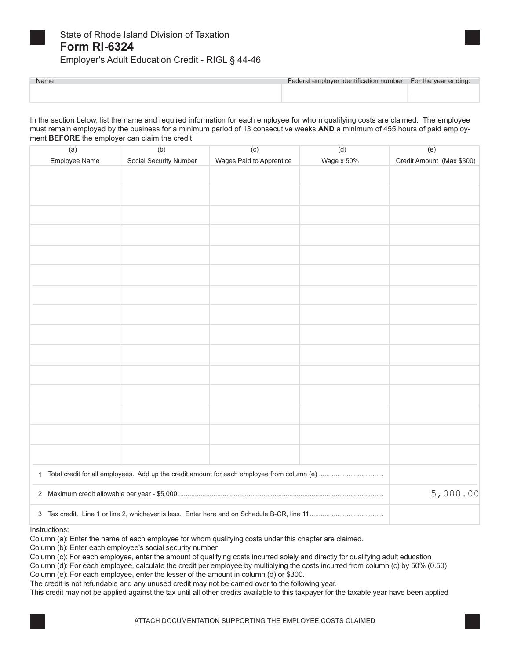

# State of Rhode Island Division of Taxation **Form RI-6324**

Employer's Adult Education Credit - RIGL § 44-46

| Name | Federal employer identification number For the year ending: |  |
|------|-------------------------------------------------------------|--|
|      |                                                             |  |
|      |                                                             |  |

In the section below, list the name and required information for each employee for whom qualifying costs are claimed. The employee must remain employed by the business for a minimum period of 13 consecutive weeks **AND** a minimum of 455 hours of paid employment **BEFORE** the employer can claim the credit.

| (a)           | (b)                    | (c)                      | (d)        | (e)                       |
|---------------|------------------------|--------------------------|------------|---------------------------|
| Employee Name | Social Security Number | Wages Paid to Apprentice | Wage x 50% | Credit Amount (Max \$300) |
|               |                        |                          |            |                           |
|               |                        |                          |            |                           |
|               |                        |                          |            |                           |
|               |                        |                          |            |                           |
|               |                        |                          |            |                           |
|               |                        |                          |            |                           |
|               |                        |                          |            |                           |
|               |                        |                          |            |                           |
|               |                        |                          |            |                           |
|               |                        |                          |            |                           |
|               |                        |                          |            |                           |
|               |                        |                          |            |                           |
|               |                        |                          |            |                           |
|               |                        |                          |            |                           |
|               |                        |                          |            |                           |
|               |                        |                          |            |                           |
|               |                        |                          |            |                           |
|               |                        |                          |            |                           |
|               |                        |                          |            |                           |
|               |                        |                          |            |                           |
|               |                        |                          |            |                           |
|               |                        |                          |            |                           |
|               |                        |                          |            |                           |
|               |                        |                          |            |                           |
| $\mathbf{1}$  |                        |                          |            |                           |
|               |                        |                          | 5,000.00   |                           |
|               |                        |                          |            |                           |

Instructions:

Column (a): Enter the name of each employee for whom qualifying costs under this chapter are claimed.

Column (b): Enter each employee's social security number

Column (c): For each employee, enter the amount of qualifying costs incurred solely and directly for qualifying adult education

Column (d): For each employee, calculate the credit per employee by multiplying the costs incurred from column (c) by 50% (0.50)

Column (e): For each employee, enter the lesser of the amount in column (d) or \$300.

The credit is not refundable and any unused credit may not be carried over to the following year.

This credit may not be applied against the tax until all other credits available to this taxpayer for the taxable year have been applied